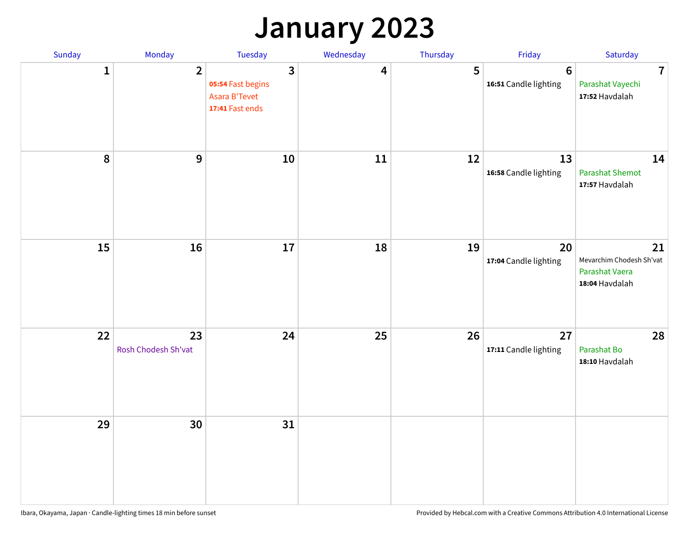## **January 2023**

| Sunday    | Monday                    | Tuesday                                                                          | Wednesday | Thursday | Friday                                   | Saturday                                                           |
|-----------|---------------------------|----------------------------------------------------------------------------------|-----------|----------|------------------------------------------|--------------------------------------------------------------------|
| 1         | $\overline{2}$            | $\overline{\mathbf{3}}$<br>05:54 Fast begins<br>Asara B'Tevet<br>17:41 Fast ends | 4         | 5        | $6\phantom{1}6$<br>16:51 Candle lighting | $\overline{7}$<br>Parashat Vayechi<br>17:52 Havdalah               |
| $\pmb{8}$ | 9                         | 10                                                                               | 11        | 12       | 13<br>16:58 Candle lighting              | 14<br><b>Parashat Shemot</b><br>17:57 Havdalah                     |
| 15        | 16                        | 17                                                                               | 18        | 19       | 20<br>17:04 Candle lighting              | 21<br>Mevarchim Chodesh Sh'vat<br>Parashat Vaera<br>18:04 Havdalah |
| 22        | 23<br>Rosh Chodesh Sh'vat | 24                                                                               | 25        | 26       | 27<br>17:11 Candle lighting              | 28<br>Parashat Bo<br>18:10 Havdalah                                |
| 29        | 30                        | 31                                                                               |           |          |                                          |                                                                    |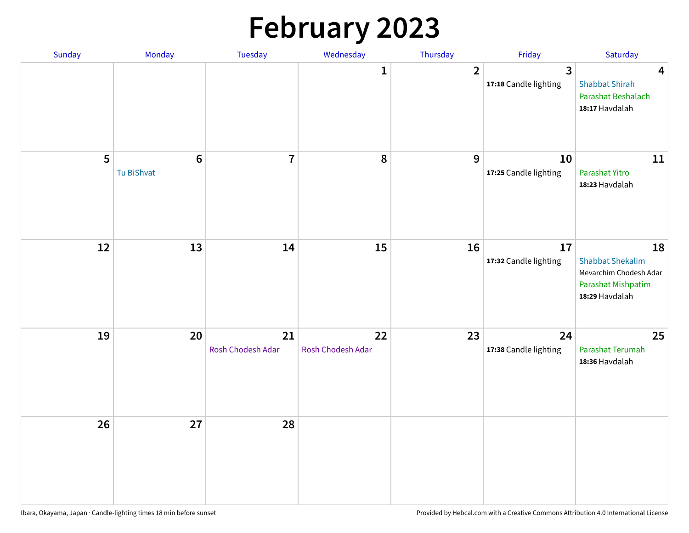# **February 2023**

| Sunday | Monday                        | Tuesday                 | Wednesday               | Thursday       | Friday                                  | Saturday                                                                                        |
|--------|-------------------------------|-------------------------|-------------------------|----------------|-----------------------------------------|-------------------------------------------------------------------------------------------------|
|        |                               |                         | $\mathbf{1}$            | $\overline{2}$ | $\overline{3}$<br>17:18 Candle lighting | $\overline{\mathbf{4}}$<br><b>Shabbat Shirah</b><br>Parashat Beshalach<br>18:17 Havdalah        |
| 5      | $6\phantom{1}6$<br>Tu BiShvat | $\overline{7}$          | 8                       | 9              | 10<br>17:25 Candle lighting             | 11<br>Parashat Yitro<br>18:23 Havdalah                                                          |
| 12     | 13                            | 14                      | 15                      | 16             | 17<br>17:32 Candle lighting             | 18<br><b>Shabbat Shekalim</b><br>Mevarchim Chodesh Adar<br>Parashat Mishpatim<br>18:29 Havdalah |
| 19     | 20                            | 21<br>Rosh Chodesh Adar | 22<br>Rosh Chodesh Adar | 23             | 24<br>17:38 Candle lighting             | 25<br>Parashat Terumah<br>18:36 Havdalah                                                        |
| 26     | 27                            | 28                      |                         |                |                                         |                                                                                                 |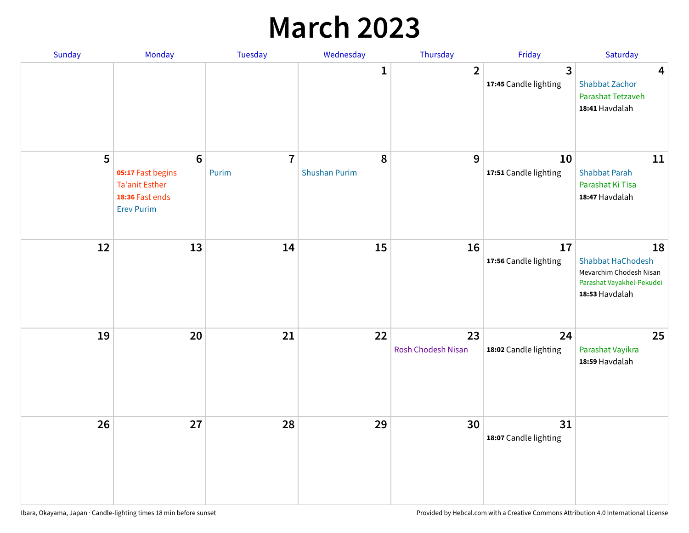## **March 2023**

| Sunday | Monday                                                                                                | Tuesday                 | Wednesday                 | Thursday                 | Friday                      | Saturday                                                                                                 |
|--------|-------------------------------------------------------------------------------------------------------|-------------------------|---------------------------|--------------------------|-----------------------------|----------------------------------------------------------------------------------------------------------|
|        |                                                                                                       |                         | 1                         | $\overline{2}$           | 3<br>17:45 Candle lighting  | $\overline{\mathbf{4}}$<br><b>Shabbat Zachor</b><br>Parashat Tetzaveh<br>18:41 Havdalah                  |
| 5      | $6\phantom{1}6$<br>05:17 Fast begins<br><b>Ta'anit Esther</b><br>18:36 Fast ends<br><b>Erev Purim</b> | $\overline{7}$<br>Purim | 8<br><b>Shushan Purim</b> | 9                        | 10<br>17:51 Candle lighting | 11<br><b>Shabbat Parah</b><br>Parashat Ki Tisa<br>18:47 Havdalah                                         |
| 12     | 13                                                                                                    | 14                      | 15                        | 16                       | 17<br>17:56 Candle lighting | 18<br><b>Shabbat HaChodesh</b><br>Mevarchim Chodesh Nisan<br>Parashat Vayakhel-Pekudei<br>18:53 Havdalah |
| 19     | 20                                                                                                    | 21                      | 22                        | 23<br>Rosh Chodesh Nisan | 24<br>18:02 Candle lighting | 25<br>Parashat Vayikra<br>18:59 Havdalah                                                                 |
| 26     | 27                                                                                                    | 28                      | 29                        | 30                       | 31<br>18:07 Candle lighting |                                                                                                          |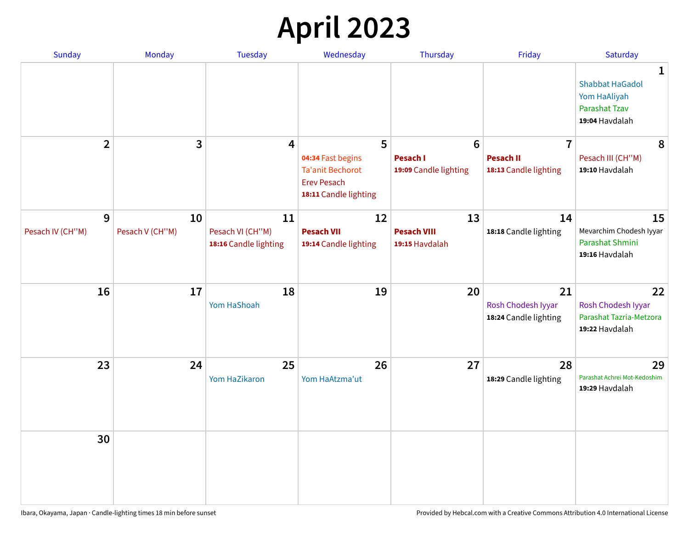# **April 2023**

| Sunday                | <b>Monday</b>         | <b>Tuesday</b>                                  | Wednesday                                                                                   | Thursday                                   | Friday                                            | Saturday                                                                              |
|-----------------------|-----------------------|-------------------------------------------------|---------------------------------------------------------------------------------------------|--------------------------------------------|---------------------------------------------------|---------------------------------------------------------------------------------------|
|                       |                       |                                                 |                                                                                             |                                            |                                                   | 1<br><b>Shabbat HaGadol</b><br>Yom HaAliyah<br><b>Parashat Tzav</b><br>19:04 Havdalah |
| $\overline{2}$        | 3                     | 4                                               | 5                                                                                           | $6\phantom{1}6$                            | $\overline{7}$                                    | 8                                                                                     |
|                       |                       |                                                 | 04:34 Fast begins<br><b>Ta'anit Bechorot</b><br><b>Erev Pesach</b><br>18:11 Candle lighting | <b>Pesach I</b><br>19:09 Candle lighting   | <b>Pesach II</b><br>18:13 Candle lighting         | Pesach III (CH"M)<br>19:10 Havdalah                                                   |
| 9<br>Pesach IV (CH"M) | 10<br>Pesach V (CH"M) | 11<br>Pesach VI (CH"M)<br>18:16 Candle lighting | 12<br><b>Pesach VII</b><br>19:14 Candle lighting                                            | 13<br><b>Pesach VIII</b><br>19:15 Havdalah | 14<br>18:18 Candle lighting                       | 15<br>Mevarchim Chodesh Iyyar<br>Parashat Shmini                                      |
|                       |                       |                                                 |                                                                                             |                                            |                                                   | 19:16 Havdalah                                                                        |
| 16                    | 17                    | 18<br>Yom HaShoah                               | 19                                                                                          | 20                                         | 21<br>Rosh Chodesh Iyyar<br>18:24 Candle lighting | 22<br>Rosh Chodesh Iyyar<br>Parashat Tazria-Metzora<br>19:22 Havdalah                 |
| 23                    | 24                    | 25<br>Yom HaZikaron                             | 26<br>Yom HaAtzma'ut                                                                        | 27                                         | 28<br>18:29 Candle lighting                       | 29<br>Parashat Achrei Mot-Kedoshim<br>19:29 Havdalah                                  |
| 30                    |                       |                                                 |                                                                                             |                                            |                                                   |                                                                                       |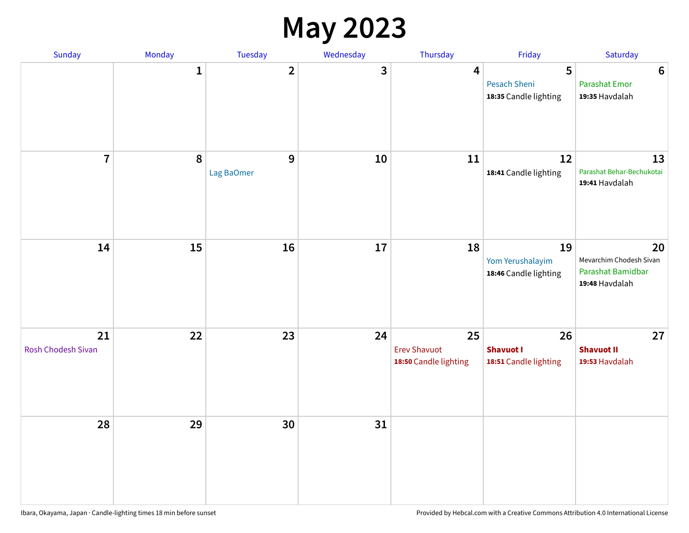#### **May 2023**

| Sunday                          | Monday       | Tuesday                      | Wednesday | Thursday                                           | Friday                                            | Saturday                                                             |
|---------------------------------|--------------|------------------------------|-----------|----------------------------------------------------|---------------------------------------------------|----------------------------------------------------------------------|
|                                 | $\mathbf{1}$ | $\overline{\mathbf{2}}$      | 3         | $\overline{\mathbf{4}}$                            | 5<br><b>Pesach Sheni</b><br>18:35 Candle lighting | $\boldsymbol{6}$<br><b>Parashat Emor</b><br>19:35 Havdalah           |
| $\overline{7}$                  | $\pmb{8}$    | $\overline{9}$<br>Lag BaOmer | 10        | 11                                                 | 12<br>18:41 Candle lighting                       | 13<br>Parashat Behar-Bechukotai<br>19:41 Havdalah                    |
| 14                              | 15           | 16                           | $17\,$    | 18                                                 | 19<br>Yom Yerushalayim<br>18:46 Candle lighting   | 20<br>Mevarchim Chodesh Sivan<br>Parashat Bamidbar<br>19:48 Havdalah |
| 21<br><b>Rosh Chodesh Sivan</b> | 22           | 23                           | 24        | 25<br><b>Erev Shavuot</b><br>18:50 Candle lighting | 26<br><b>Shavuot I</b><br>18:51 Candle lighting   | 27<br><b>Shavuot II</b><br>19:53 Havdalah                            |
| 28                              | 29           | 30                           | 31        |                                                    |                                                   |                                                                      |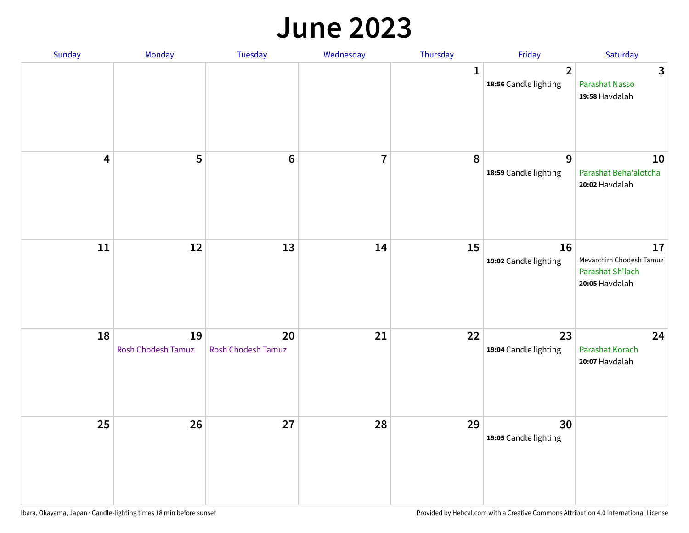#### **June 2023**

| Sunday                  | Monday                   | Tuesday                         | Wednesday               | Thursday     | Friday                                  | Saturday                                                            |
|-------------------------|--------------------------|---------------------------------|-------------------------|--------------|-----------------------------------------|---------------------------------------------------------------------|
|                         |                          |                                 |                         | $\mathbf{1}$ | $\overline{2}$<br>18:56 Candle lighting | $\overline{3}$<br>Parashat Nasso<br>19:58 Havdalah                  |
| $\overline{\mathbf{4}}$ | 5                        | $\bf 6$                         | $\overline{\mathbf{r}}$ | 8            | 9<br>18:59 Candle lighting              | 10<br>Parashat Beha'alotcha<br>20:02 Havdalah                       |
| ${\bf 11}$              | 12                       | 13                              | 14                      | 15           | 16<br>19:02 Candle lighting             | 17<br>Mevarchim Chodesh Tamuz<br>Parashat Sh'lach<br>20:05 Havdalah |
| 18                      | 19<br>Rosh Chodesh Tamuz | 20<br><b>Rosh Chodesh Tamuz</b> | 21                      | 22           | 23<br>19:04 Candle lighting             | 24<br>Parashat Korach<br>20:07 Havdalah                             |
| 25                      | 26                       | 27                              | 28                      | 29           | 30<br>19:05 Candle lighting             |                                                                     |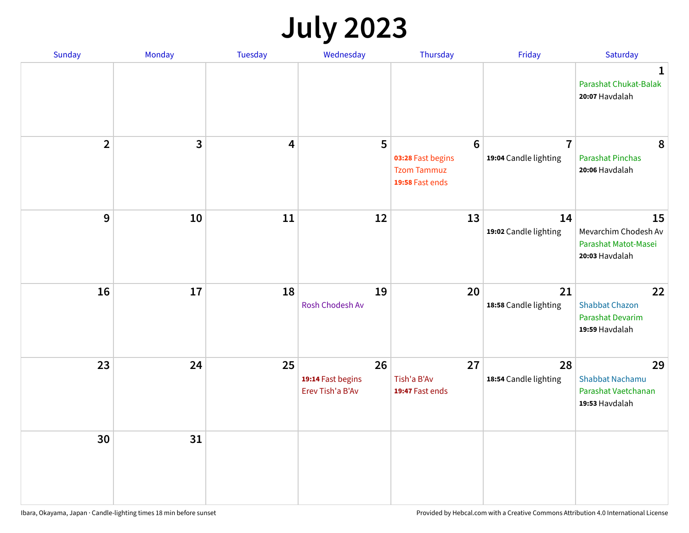# **July 2023**

| Sunday         | Monday       | <b>Tuesday</b>          | Wednesday                                   | Thursday                                                                      | Friday                                  | Saturday                                                              |
|----------------|--------------|-------------------------|---------------------------------------------|-------------------------------------------------------------------------------|-----------------------------------------|-----------------------------------------------------------------------|
|                |              |                         |                                             |                                                                               |                                         | $\mathbf 1$<br>Parashat Chukat-Balak<br>20:07 Havdalah                |
| $\overline{2}$ | $\mathbf{3}$ | $\overline{\mathbf{4}}$ | 5                                           | $6\phantom{1}6$<br>03:28 Fast begins<br><b>Tzom Tammuz</b><br>19:58 Fast ends | $\overline{7}$<br>19:04 Candle lighting | 8<br><b>Parashat Pinchas</b><br>20:06 Havdalah                        |
| 9              | 10           | 11                      | 12                                          | 13                                                                            | 14<br>19:02 Candle lighting             | 15<br>Mevarchim Chodesh Av<br>Parashat Matot-Masei<br>20:03 Havdalah  |
| 16             | 17           | 18                      | 19<br>Rosh Chodesh Av                       | 20                                                                            | 21<br>18:58 Candle lighting             | 22<br><b>Shabbat Chazon</b><br>Parashat Devarim<br>19:59 Havdalah     |
| 23             | 24           | 25                      | 26<br>19:14 Fast begins<br>Erev Tish'a B'Av | 27<br>Tish'a B'Av<br>19:47 Fast ends                                          | 28<br>18:54 Candle lighting             | 29<br><b>Shabbat Nachamu</b><br>Parashat Vaetchanan<br>19:53 Havdalah |
| 30             | 31           |                         |                                             |                                                                               |                                         |                                                                       |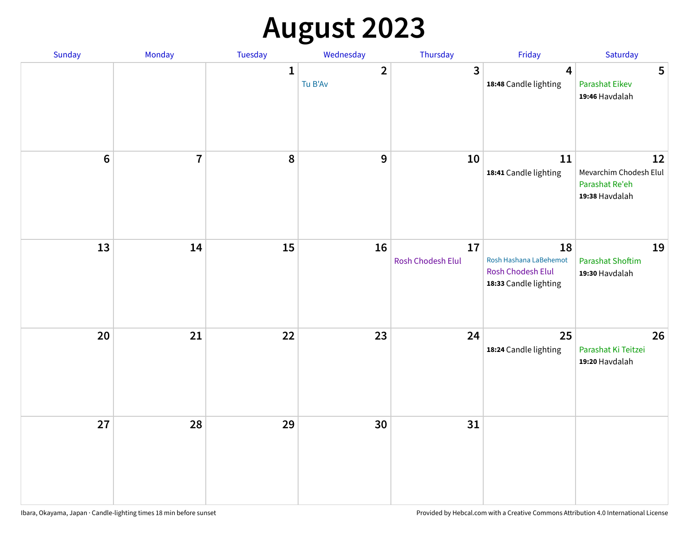# **August 2023**

| Sunday | Monday         | Tuesday      | Wednesday               | Thursday                | Friday                                                                            | Saturday                                                         |
|--------|----------------|--------------|-------------------------|-------------------------|-----------------------------------------------------------------------------------|------------------------------------------------------------------|
|        |                | $\mathbf{1}$ | $\mathbf{2}$<br>Tu B'Av | 3                       | 4<br>18:48 Candle lighting                                                        | 5<br><b>Parashat Eikev</b><br>19:46 Havdalah                     |
| $6\,$  | $\overline{7}$ | 8            | 9                       | 10                      | 11<br>18:41 Candle lighting                                                       | 12<br>Mevarchim Chodesh Elul<br>Parashat Re'eh<br>19:38 Havdalah |
| 13     | 14             | 15           | 16                      | 17<br>Rosh Chodesh Elul | 18<br>Rosh Hashana LaBehemot<br><b>Rosh Chodesh Elul</b><br>18:33 Candle lighting | 19<br><b>Parashat Shoftim</b><br>19:30 Havdalah                  |
| 20     | 21             | 22           | 23                      | 24                      | 25<br>18:24 Candle lighting                                                       | 26<br>Parashat Ki Teitzei<br>19:20 Havdalah                      |
| 27     | 28             | 29           | 30                      | 31                      |                                                                                   |                                                                  |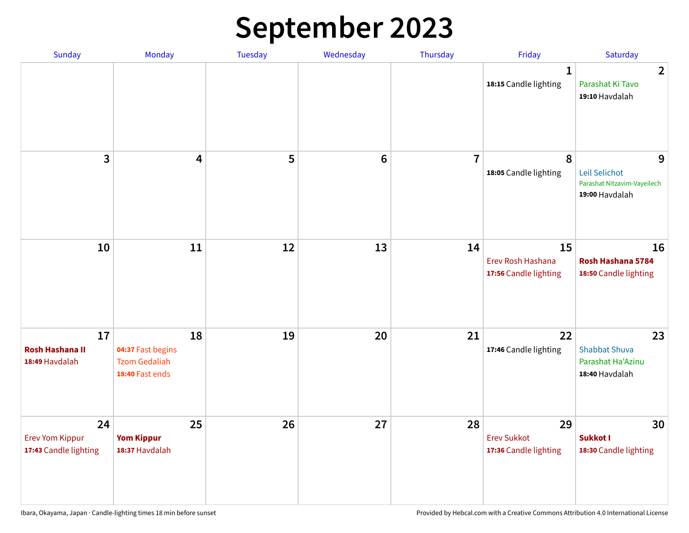# **September 2023**

| Sunday                                                | Monday                                                             | <b>Tuesday</b> | Wednesday       | Thursday       | Friday                                            | Saturday                                                            |
|-------------------------------------------------------|--------------------------------------------------------------------|----------------|-----------------|----------------|---------------------------------------------------|---------------------------------------------------------------------|
|                                                       |                                                                    |                |                 |                | 1<br>18:15 Candle lighting                        | $\overline{2}$<br>Parashat Ki Tavo<br>19:10 Havdalah                |
| 3                                                     | $\overline{\mathbf{4}}$                                            | 5              | $6\phantom{1}6$ | $\overline{7}$ | 8<br>18:05 Candle lighting                        | 9<br>Leil Selichot<br>Parashat Nitzavim-Vayeilech<br>19:00 Havdalah |
| 10                                                    | 11                                                                 | 12             | 13              | 14             | 15<br>Erev Rosh Hashana<br>17:56 Candle lighting  | 16<br>Rosh Hashana 5784<br>18:50 Candle lighting                    |
| 17<br><b>Rosh Hashana II</b><br>18:49 Havdalah        | 18<br>04:37 Fast begins<br><b>Tzom Gedaliah</b><br>18:40 Fast ends | 19             | 20              | 21             | 22<br>17:46 Candle lighting                       | 23<br><b>Shabbat Shuva</b><br>Parashat Ha'Azinu<br>18:40 Havdalah   |
| 24<br><b>Erev Yom Kippur</b><br>17:43 Candle lighting | 25<br><b>Yom Kippur</b><br>18:37 Havdalah                          | 26             | 27              | 28             | 29<br><b>Erev Sukkot</b><br>17:36 Candle lighting | 30<br>Sukkot I<br>18:30 Candle lighting                             |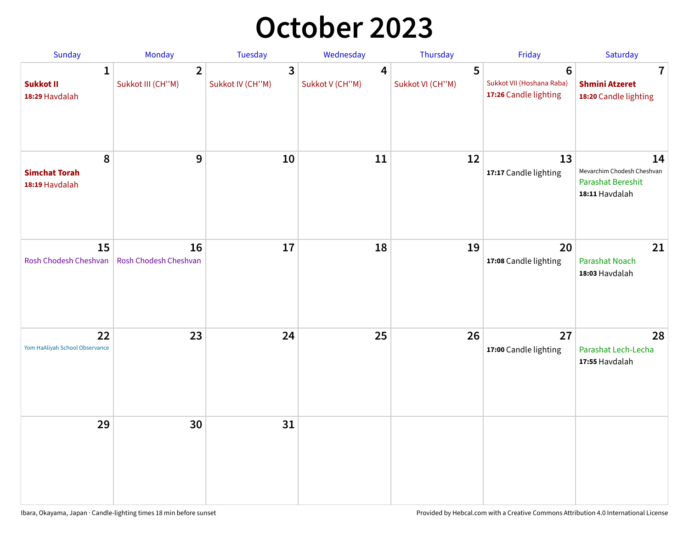## **October 2023**

| Sunday                                             | <b>Monday</b>                       | <b>Tuesday</b>        | Wednesday            | Thursday              | Friday                                                               | Saturday                                                                       |
|----------------------------------------------------|-------------------------------------|-----------------------|----------------------|-----------------------|----------------------------------------------------------------------|--------------------------------------------------------------------------------|
| $\mathbf{1}$<br><b>Sukkot II</b><br>18:29 Havdalah | $\overline{2}$<br>Sukkot III (CH"M) | 3<br>Sukkot IV (CH"M) | 4<br>Sukkot V (CH"M) | 5<br>Sukkot VI (CH"M) | $6\phantom{1}$<br>Sukkot VII (Hoshana Raba)<br>17:26 Candle lighting | 7<br><b>Shmini Atzeret</b><br>18:20 Candle lighting                            |
| 8<br><b>Simchat Torah</b><br>18:19 Havdalah        | $\boldsymbol{9}$                    | 10                    | 11                   | 12                    | 13<br>17:17 Candle lighting                                          | 14<br>Mevarchim Chodesh Cheshvan<br><b>Parashat Bereshit</b><br>18:11 Havdalah |
| 15<br>Rosh Chodesh Cheshvan                        | 16<br>Rosh Chodesh Cheshvan         | 17                    | 18                   | 19                    | 20<br>17:08 Candle lighting                                          | 21<br>Parashat Noach<br>18:03 Havdalah                                         |
| 22<br>Yom HaAliyah School Observance               | 23                                  | 24                    | 25                   | 26                    | 27<br>17:00 Candle lighting                                          | 28<br>Parashat Lech-Lecha<br>17:55 Havdalah                                    |
| 29                                                 | 30                                  | 31                    |                      |                       |                                                                      |                                                                                |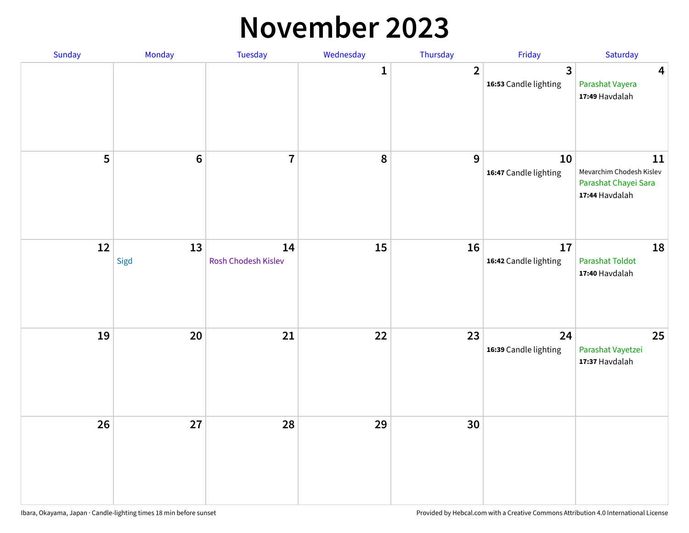#### **November 2023**

| Sunday | Monday          | Tuesday                   | Wednesday | Thursday       | Friday                      | Saturday                                                                 |
|--------|-----------------|---------------------------|-----------|----------------|-----------------------------|--------------------------------------------------------------------------|
|        |                 |                           | 1         | $\overline{2}$ | 3<br>16:53 Candle lighting  | $\overline{\mathbf{4}}$<br>Parashat Vayera<br>17:49 Havdalah             |
| 5      | $6\phantom{1}6$ | $\overline{7}$            | 8         | 9              | 10<br>16:47 Candle lighting | 11<br>Mevarchim Chodesh Kislev<br>Parashat Chayei Sara<br>17:44 Havdalah |
| 12     | 13<br>Sigd      | 14<br>Rosh Chodesh Kislev | 15        | 16             | 17<br>16:42 Candle lighting | 18<br><b>Parashat Toldot</b><br>17:40 Havdalah                           |
| 19     | 20              | 21                        | 22        | 23             | 24<br>16:39 Candle lighting | 25<br>Parashat Vayetzei<br>17:37 Havdalah                                |
| 26     | 27              | 28                        | 29        | 30             |                             |                                                                          |